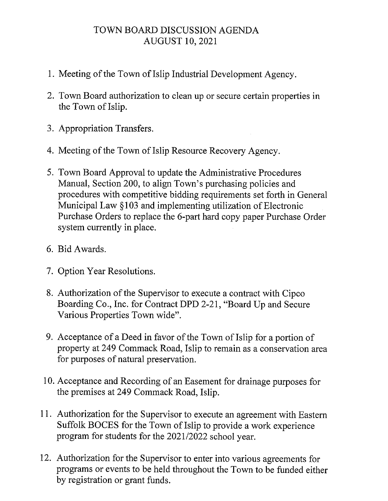## TOWN BOARD DISCUSSION AGENDA AUGUST 10, 2021

- 1. Meeting of the Town of Islip Industrial Development Agency.
- 2. Town Board authorization to clean up or secure certain properties in the Town of Islip.
- 3. Appropriation Transfers.
- 4. Meeting of the Town of Islip Resource Recovery Agency.
- 5. Town Board Approval to update the Administrative Procedures Manual, Section 200, to align Town's purchasing policies and procedures with competitive bidding requirements set forth in General Municipal Law §103 and implementing utilization of Electronic Purchase Orders to replace the 6-part hard copy paper Purchase Order system currently in place.
- 6. Bid Awards.
- 7. Option Year Resolutions.
- 8. Authorization of the Supervisor to execute a contract with Cipco Boarding Co., Inc. for Contract DPD 2-21, "Board Up and Secure Various Properties Town wide".
- 9. Acceptance of a Deed in favor of the Town of Islip for a portion of property at 249 Commack Road, Islip to remain as a conservation area for purposes of natural preservation.
- 10. Acceptance and Recording of an Easement for drainage purposes for the premises at 249 Commack Road, Islip.
- 11. Authorization for the Supervisor to execute an agreement with Eastern Suffolk BOCES for the Town of Islip to provide a work experience program for students for the 2021/2022 school year.
- 12. Authorization for the Supervisor to enter into various agreements for programs or events to be held throughout the Town to be funded either by registration or grant funds.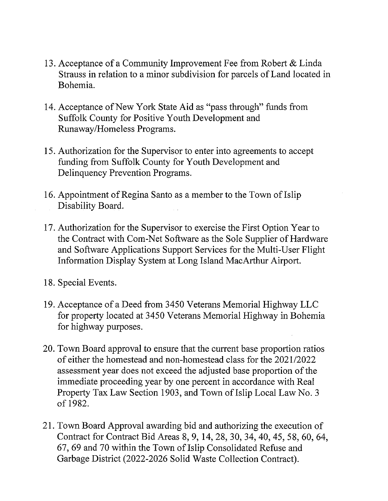- 13. Acceptance of a Community Improvement Fee from Robert & Linda Strauss in relation to a minor subdivision for parcels of Land located in Bohemia.
- 14. Acceptance of New York State Aid as "pass through" funds from Suffolk County for Positive Youth Development and Runaway/Homeless Programs.
- 15. Authorization for the Supervisor to enter into agreements to accept funding from Suffolk County for Youth Development and Delinquency Prevention Programs.
- 16. Appointment of Regina Santo as a member to the Town of Islip Disability Board.
- 17. Authorization for the Supervisor to exercise the First Option Year to the Contract with Com-Net Software as the Sole Supplier of Hardware and Software Applications Support Services for the Multi-User Flight Information Display System at Long Island MacArthur Airport.
- 18. Special Events.
- 19. Acceptance of a Deed from 3450 Veterans Memorial Highway LLC for property located at 3450 Veterans Memorial Highway in Bohemia for highway purposes.
- 20. Town Board approval to ensure that the current base proportion ratios of either the homestead and non-homestead class for the 2021/2022 assessment year does not exceed the adjusted base proportion of the immediate proceeding year by one percent in accordance with Real Property Tax Law Section 1903, and Town of Islip Local Law No. 3 of 1982.
- 21. Town Board Approval awarding bid and authorizing the execution of Contract for Contract Bid Areas 8, 9, 14, 28, 30, 34, 40, 45, 58, 60, 64, 67, 69 and 70 within the Town of Islip Consolidated Refuse and Garbage District (2022-2026 Solid Waste Collection Contract).